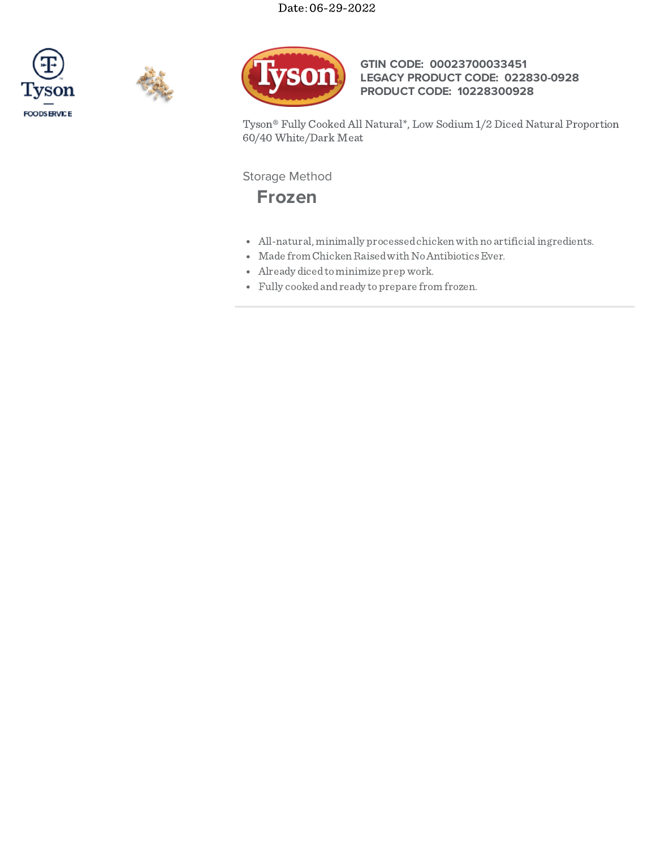





## **GTIN CODE: 00023700033451 LEGACY PRODUCT CODE: 022830-0928 PRODUCT CODE: 10228300928**

Tyson® Fully Cooked All Natural\*, Low Sodium 1/2 Diced Natural Proportion 60/40 White/Dark Meat

Storage Method



- All-natural, minimally processedchickenwith no artificialingredients.
- Made from Chicken Raised with No Antibiotics Ever.
- Already dicedtominimize prep work.
- Fully cookedandready toprepare from frozen.